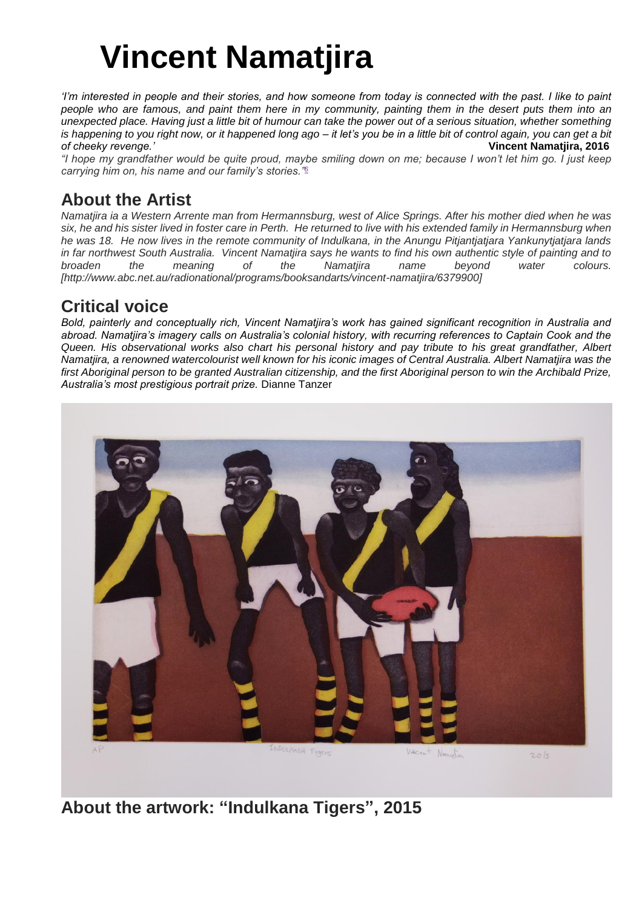## **Vincent Namatjira**

*'I'm interested in people and their stories, and how someone from today is connected with the past. I like to paint people who are famous, and paint them here in my community, painting them in the desert puts them into an unexpected place. Having just a little bit of humour can take the power out of a serious situation, whether something is happening to you right now, or it happened long ago – it let's you be in a little bit of control again, you can get a bit of cheeky revenge.'* **Vincent Namatjira, 2016**

*"I hope my grandfather would be quite proud, maybe smiling down on me; because I won't let him go. I just keep carrying him on, his name and our family's stories."[6](https://aboriginalartandculture.wordpress.com/2014/11/09/the-namatjira-legend-lives-on/#six)*

## **About the Artist**

*Namatjira ia a Western Arrente man from Hermannsburg, west of Alice Springs. After his mother died when he was six, he and his sister lived in foster care in Perth. He returned to live with his extended family in Hermannsburg when he was 18. He now lives in the remote community of Indulkana, in the Anungu Pitjantjatjara Yankunytjatjara lands in far northwest South Australia. Vincent Namatjira says he wants to find his own authentic style of painting and to broaden the meaning of the Namatjira name beyond water colours. [http://www.abc.net.au/radionational/programs/booksandarts/vincent-namatjira/6379900]*

## **Critical voice**

*Bold, painterly and conceptually rich, Vincent Namatjira's work has gained significant recognition in Australia and abroad. Namatjira's imagery calls on Australia's colonial history, with recurring references to Captain Cook and the Queen. His observational works also chart his personal history and pay tribute to his great grandfather, Albert Namatjira, a renowned watercolourist well known for his iconic images of Central Australia. Albert Namatjira was the first Aboriginal person to be granted Australian citizenship, and the first Aboriginal person to win the Archibald Prize, Australia's most prestigious portrait prize.* Dianne Tanzer



**About the artwork: "Indulkana Tigers", 2015**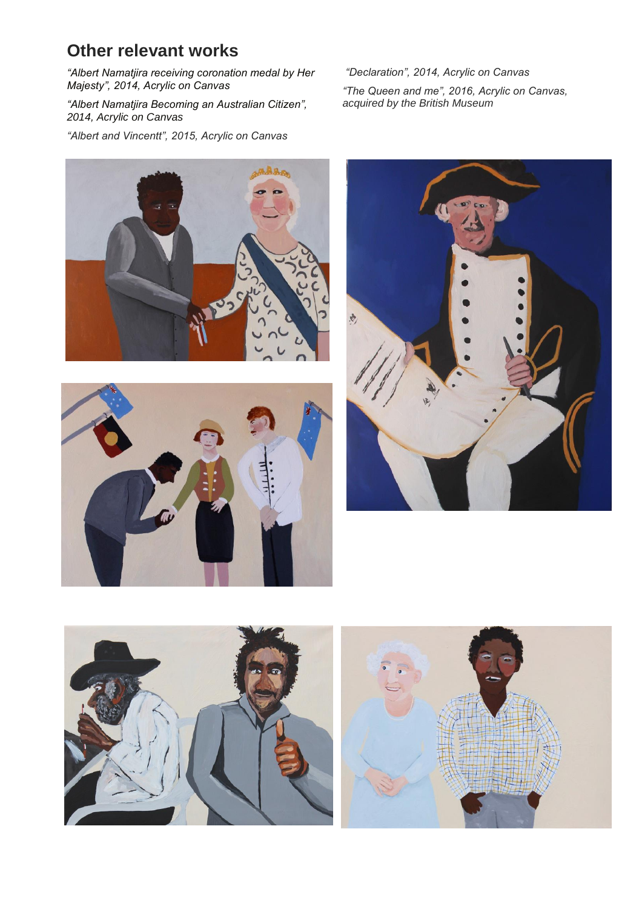## **Other relevant works**

*"Albert Namatjira receiving coronation medal by Her Majesty", 2014, Acrylic on Canvas*

*"Albert Namatjira Becoming an Australian Citizen", 2014, Acrylic on Canvas*

*"Albert and Vincentt", 2015, Acrylic on Canvas*

*"Declaration", 2014, Acrylic on Canvas*

*"The Queen and me", 2016, Acrylic on Canvas, acquired by the British Museum*